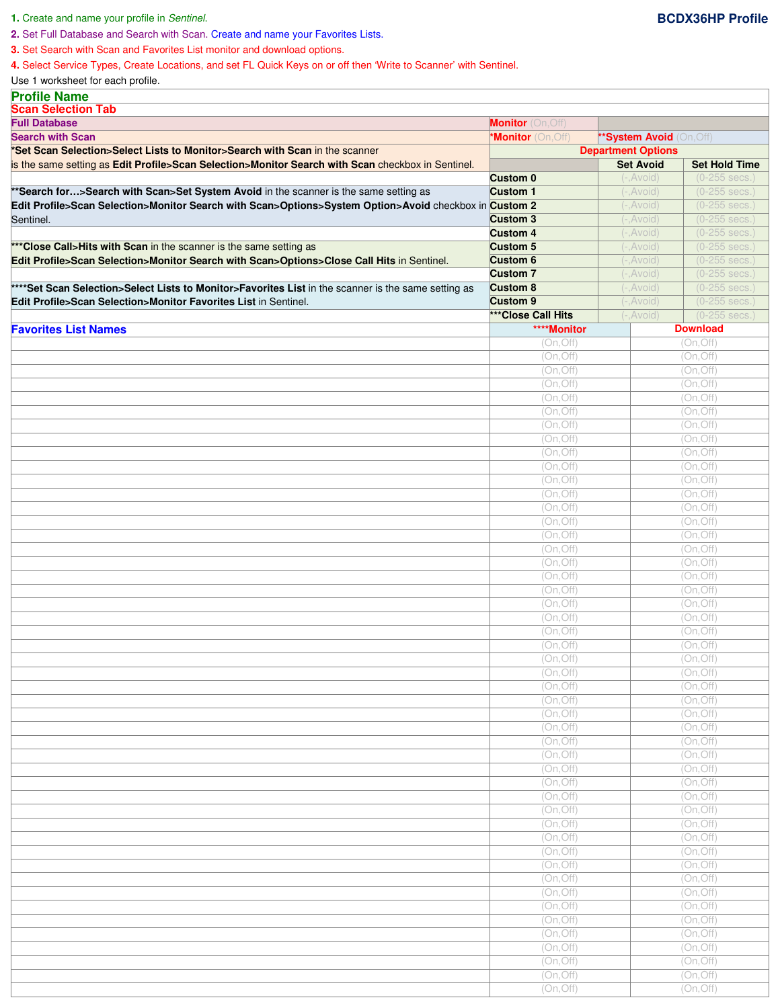## **1.** Create and name your profile in Sentinel. **BCDX36HP Profile**

**3.** Set Search with Scan and Favorites List monitor and download options.

**4.** Select Service Types, Create Locations, and set FL Quick Keys on or off then 'Write to Scanner' with Sentinel.

Use 1 worksheet for each profile.

| <b>Profile Name</b>                                                                                   |                          |                               |                         |
|-------------------------------------------------------------------------------------------------------|--------------------------|-------------------------------|-------------------------|
| <b>Scan Selection Tab</b>                                                                             |                          |                               |                         |
| <b>Full Database</b>                                                                                  | <b>Monitor</b> (On, Off) |                               |                         |
| <b>Search with Scan</b>                                                                               | *Monitor (On, Off)       | <b>*System Avoid</b> (On,Off) |                         |
| *Set Scan Selection>Select Lists to Monitor>Search with Scan in the scanner                           |                          | <b>Department Options</b>     |                         |
| is the same setting as Edit Profile>Scan Selection>Monitor Search with Scan checkbox in Sentinel.     |                          | <b>Set Avoid</b>              | <b>Set Hold Time</b>    |
|                                                                                                       | <b>Custom 0</b>          | $(-, Avoid)$                  | (0-255 secs.            |
| ** Search for> Search with Scan>Set System Avoid in the scanner is the same setting as                | <b>Custom 1</b>          | $(-, Avoid)$                  | (0-255 secs.)           |
| Edit Profile>Scan Selection>Monitor Search with Scan>Options>System Option>Avoid checkbox in Custom 2 |                          | $(-, Avoid)$                  | (0-255 secs.            |
| Sentinel.                                                                                             | <b>Custom 3</b>          | $(-, Avoid)$                  | $(0-255 \text{ secs.})$ |
|                                                                                                       | <b>Custom 4</b>          | $(-, Avoid)$                  | (0-255 secs.            |
| *** Close Call>Hits with Scan in the scanner is the same setting as                                   | <b>Custom 5</b>          | (-, Avoid)                    | $(0-255 \text{ secs.})$ |
| Edit Profile>Scan Selection>Monitor Search with Scan>Options>Close Call Hits in Sentinel.             | Custom <sub>6</sub>      | $(-, Avoid)$                  | (0-255 secs.)           |
|                                                                                                       | <b>Custom 7</b>          | $(-, Avoid)$                  | $(0-255$ secs.          |
| ****Set Scan Selection>Select Lists to Monitor>Favorites List in the scanner is the same setting as   | <b>Custom 8</b>          | $(-, Avoid)$                  | $(0-255 \text{ secs.})$ |
| Edit Profile>Scan Selection>Monitor Favorites List in Sentinel.                                       | <b>Custom 9</b>          | $(-, Avoid)$                  | (0-255 secs.            |
|                                                                                                       | *** Close Call Hits      | (-,Avoid)                     | (0-255 secs.            |
| <b>Favorites List Names</b>                                                                           | ****Monitor              |                               | <b>Download</b>         |
|                                                                                                       | (On, Off)                |                               | (On, Off)               |
|                                                                                                       | (On, Off)                |                               | (On, Off)               |
|                                                                                                       | (On, Off)                |                               | (On, Off)               |
|                                                                                                       | (On, Off)                |                               | (On, Off)               |
|                                                                                                       | (On, Off)                |                               | (On, Off)               |
|                                                                                                       | (On, Off)                |                               | (On, Off)               |
|                                                                                                       | (On, Off)                |                               | (On, Off)               |
|                                                                                                       | (On, Off)                |                               | (On, Off)               |
|                                                                                                       | (On, Off)                |                               | (On, Off)               |
|                                                                                                       | (On, Off)                |                               | (On, Off)               |
|                                                                                                       | (On, Off)                |                               | (On, Off)               |
|                                                                                                       | (On, Off)                |                               | (On, Off)               |
|                                                                                                       | (On, Off)                |                               | (On, Off)               |
|                                                                                                       | (On, Off)                |                               | (On, Off)               |
|                                                                                                       | (On, Off)                |                               | (On, Off)               |
|                                                                                                       | (On, Off)                |                               | (On, Off)               |
|                                                                                                       | (On, Off)                |                               | (On, Off)               |
|                                                                                                       | (On, Off)                |                               | (On, Off)               |
|                                                                                                       | (On, Off)                |                               | (On, Off)               |
|                                                                                                       | (On, Off)                |                               | (On, Off)               |
|                                                                                                       | (On, Off)                |                               | (On, Off)               |
|                                                                                                       | (On, Off)                |                               | (On, Off)               |
|                                                                                                       | (On, Off)                |                               | (On, Off)               |
|                                                                                                       | (On, Off)                |                               | (On, Off)               |
|                                                                                                       | (On, Off)                |                               | (On, Off)               |
|                                                                                                       | (On, Off)                |                               | (On, Off)               |
|                                                                                                       | (On, Off)                |                               | (On, Off)               |
|                                                                                                       | (On, Off)                |                               | (On, Off)               |
|                                                                                                       | (On, Off)                |                               | (On, Off)               |
|                                                                                                       | (On, Off)                |                               | (On, Off)               |
|                                                                                                       | (On, Off)                |                               | (On, Off)               |
|                                                                                                       | (On, Off)                |                               | (On, Off)               |
|                                                                                                       | (On, Off)                |                               | (On, Off)               |
|                                                                                                       | (On, Off)                |                               | (On, Off)               |
|                                                                                                       | (On, Off)                |                               | (On, Off)               |
|                                                                                                       | (On, Off)                |                               | (On, Off)               |
|                                                                                                       | (On, Off)                |                               | (On, Off)               |
|                                                                                                       | (On, Off)                |                               | (On, Off)               |
|                                                                                                       | (On, Off)                |                               | (On, Off)               |
|                                                                                                       | (On, Off)                |                               | (On, Off)               |
|                                                                                                       | (On, Off)                |                               | (On, Off)               |
|                                                                                                       |                          |                               |                         |
|                                                                                                       | (On, Off)                |                               | (On, Off)               |
|                                                                                                       | (On, Off)                |                               | (On, Off)               |
|                                                                                                       | (On, Off)                |                               | (On, Off)               |
|                                                                                                       | (On, Off)                |                               | (On, Off)               |
|                                                                                                       | (On, Off)                |                               | (On, Off)               |
|                                                                                                       | (On, Off)                |                               | (On, Off)               |
|                                                                                                       | (On, Off)                |                               | (On, Off)               |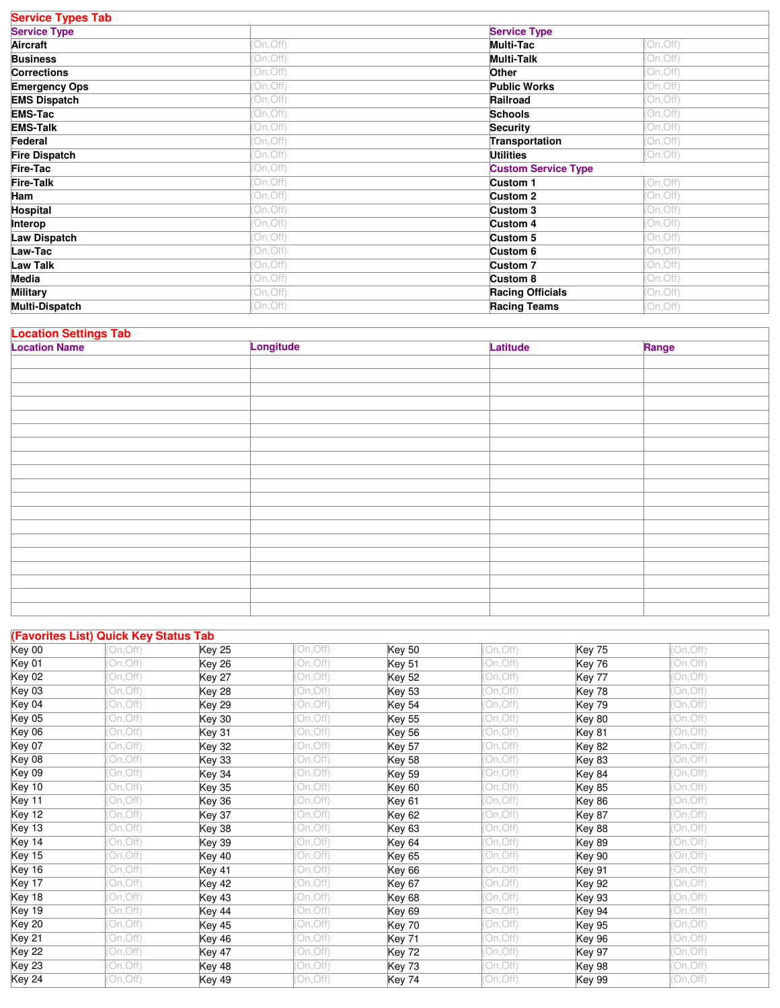| <b>Service Types Tab</b> |           |                            |          |
|--------------------------|-----------|----------------------------|----------|
| <b>Service Type</b>      |           | <b>Service Type</b>        |          |
| Aircraft                 | (On, Off) | <b>Multi-Tac</b>           | On, Off) |
| <b>Business</b>          | (On, Off) | <b>Multi-Talk</b>          | On, Off) |
| <b>Corrections</b>       | (On, Off) | Other                      | On, Off) |
| <b>Emergency Ops</b>     | On, Off)  | <b>Public Works</b>        | On, Off) |
| <b>EMS Dispatch</b>      | (On, Off) | Railroad                   | On, Off) |
| <b>EMS-Tac</b>           | (On, Off) | <b>Schools</b>             | On, Off) |
| <b>EMS-Talk</b>          | (On, Off) | <b>Security</b>            | On, Off) |
| Federal                  | (On, Off) | Transportation             | On, Off) |
| <b>Fire Dispatch</b>     | On, Off)  | <b>Utilities</b>           | On, Off) |
| Fire-Tac                 | (On, Off) | <b>Custom Service Type</b> |          |
| <b>Fire-Talk</b>         | (On, Off) | Custom 1                   | On, Off) |
| Ham                      | On, Off)  | Custom 2                   | On, Off) |
| Hospital                 | (On,Off)  | Custom 3                   | On, Off) |
| Interop                  | (On, Off) | Custom 4                   | On, Off) |
| <b>Law Dispatch</b>      | On, Off)  | Custom 5                   | On, Off) |
| Law-Tac                  | (On,Off)  | Custom 6                   | On, Off) |
| <b>Law Talk</b>          | (On, Off) | Custom 7                   | On, Off) |
| <b>Media</b>             | (On, Off) | Custom 8                   | On, Off) |
| <b>Military</b>          | (On,Off)  | <b>Racing Officials</b>    | On, Off) |
| <b>Multi-Dispatch</b>    | (On, Off) | <b>Racing Teams</b>        | On, Off) |

| <b>Location Settings Tab</b> |  |  |
|------------------------------|--|--|

| <b>Location Name</b> | Longitude | Latitude | Range |
|----------------------|-----------|----------|-------|
|                      |           |          |       |
|                      |           |          |       |
|                      |           |          |       |
|                      |           |          |       |
|                      |           |          |       |
|                      |           |          |       |
|                      |           |          |       |
|                      |           |          |       |
|                      |           |          |       |
|                      |           |          |       |
|                      |           |          |       |
|                      |           |          |       |
|                      |           |          |       |
|                      |           |          |       |
|                      |           |          |       |
|                      |           |          |       |
|                      |           |          |       |
|                      |           |          |       |
|                      |           |          |       |

٦

|               | (Favorites List) Quick Key Status Tab |               |           |               |          |               |          |
|---------------|---------------------------------------|---------------|-----------|---------------|----------|---------------|----------|
| Key 00        | 'On.Off)                              | <b>Key 25</b> | (On, Off) | <b>Key 50</b> | On.Off)  | Key 75        | On.Off)  |
| Key 01        | On, Off)                              | <b>Key 26</b> | (On, Off) | Key 51        | On, Off) | Key 76        | On, Off) |
| Key 02        | (On,Off)                              | <b>Key 27</b> | (On,Off)  | Key 52        | On, Off) | Key 77        | On, Off) |
| <b>Key 03</b> | On, Off)                              | <b>Key 28</b> | On, Off)  | <b>Key 53</b> | On, Off) | Key 78        | On, Off) |
| Key 04        | On, Off)                              | <b>Key 29</b> | (On, Off) | <b>Key 54</b> | On, Off) | <b>Key 79</b> | On, Off) |
| <b>Key 05</b> | On, Off)                              | <b>Key 30</b> | On, Off)  | Key 55        | On, Off) | Key 80        | On, Off) |
| Key 06        | On, Off)                              | Key 31        | (On, Off) | Key 56        | On, Off) | Key 81        | On, Off) |
| <b>Key 07</b> | On, Off)                              | <b>Key 32</b> | (On, Off) | <b>Key 57</b> | On, Off) | <b>Key 82</b> | On, Off) |
| Key 08        | On, Off)                              | <b>Key 33</b> | (On, Off) | <b>Key 58</b> | On, Off) | <b>Key 83</b> | On, Off) |
| <b>Key 09</b> | On, Off)                              | <b>Key 34</b> | (On, Off) | <b>Key 59</b> | On, Off) | Key 84        | On, Off) |
| Key 10        | On, Off)                              | <b>Key 35</b> | (On, Off) | <b>Key 60</b> | On, Off) | <b>Key 85</b> | On, Off) |
| Key 11        | On, Off)                              | <b>Key 36</b> | (On, Off) | Key 61        | On, Off) | <b>Key 86</b> | On, Off) |
| <b>Key 12</b> | On, Off)                              | Key 37        | On, Off)  | Key 62        | On, Off) | <b>Key 87</b> | On, Off) |
| Key 13        | On, Off)                              | <b>Key 38</b> | (On, Off) | <b>Key 63</b> | On, Off) | Key 88        | On, Off) |
| Key 14        | On, Off)                              | <b>Key 39</b> | (On, Off) | <b>Key 64</b> | On, Off) | <b>Key 89</b> | On, Off) |
| <b>Key 15</b> | On, Off)                              | <b>Key 40</b> | (On, Off) | <b>Key 65</b> | On, Off) | <b>Key 90</b> | On, Off) |
| Key 16        | On, Off)                              | Key 41        | (On, Off) | Key 66        | On, Off) | <b>Key 91</b> | On, Off) |
| Key 17        | On, Off)                              | <b>Key 42</b> | (On.Off)  | Key 67        | On, Off) | <b>Key 92</b> | On, Off) |
| Key 18        | On.Off)                               | Key 43        | (On, Off) | <b>Key 68</b> | On, Off) | <b>Key 93</b> | On, Off) |
| Key 19        | On, Off)                              | <b>Key 44</b> | (On, Off) | Key 69        | On, Off) | <b>Key 94</b> | On, Off) |
| Key 20        | On, Off)                              | <b>Key 45</b> | (On, Off) | <b>Key 70</b> | On, Off) | <b>Key 95</b> | On, Off) |
| Key 21        | On, Off)                              | <b>Key 46</b> | (On, Off) | Key 71        | On, Off) | <b>Key 96</b> | On, Off) |
| Key 22        | On, Off)                              | <b>Key 47</b> | (On, Off) | <b>Key 72</b> | On, Off) | Key 97        | On, Off) |
| Key 23        | On, Off)                              | <b>Key 48</b> | (On, Off) | Key 73        | On, Off) | <b>Key 98</b> | On, Off) |
| <b>Key 24</b> | (On, Off)                             | <b>Key 49</b> | (On, Off) | <b>Key 74</b> | On, Off) | <b>Key 99</b> | On, Off) |